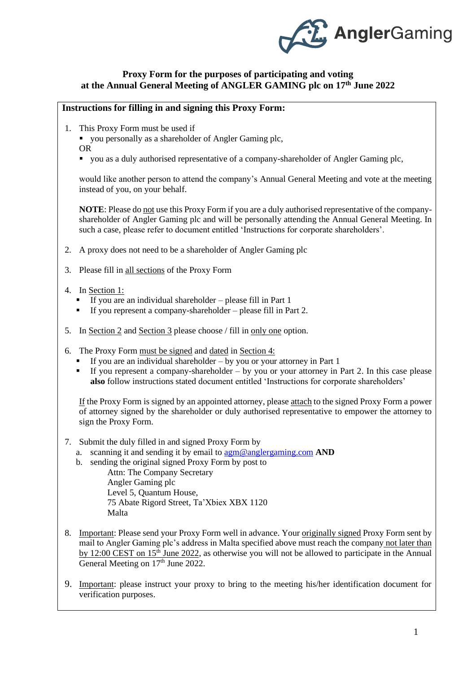

### **Proxy Form for the purposes of participating and voting at the Annual General Meeting of ANGLER GAMING plc on 17 th June 2022**

### **Instructions for filling in and signing this Proxy Form:**

1. This Proxy Form must be used if

■ you personally as a shareholder of Angler Gaming plc,

- OR
- you as a duly authorised representative of a company-shareholder of Angler Gaming plc,

would like another person to attend the company's Annual General Meeting and vote at the meeting instead of you, on your behalf.

**NOTE**: Please do not use this Proxy Form if you are a duly authorised representative of the companyshareholder of Angler Gaming plc and will be personally attending the Annual General Meeting. In such a case, please refer to document entitled 'Instructions for corporate shareholders'.

- 2. A proxy does not need to be a shareholder of Angler Gaming plc
- 3. Please fill in all sections of the Proxy Form
- 4. In Section 1:
	- If you are an individual shareholder please fill in Part 1
	- $\blacksquare$  If you represent a company-shareholder please fill in Part 2.
- 5. In Section 2 and Section 3 please choose / fill in only one option.
- 6. The Proxy Form must be signed and dated in Section 4:
	- $\blacksquare$  If you are an individual shareholder by you or your attorney in Part 1
	- If you represent a company-shareholder by you or your attorney in Part 2. In this case please **also** follow instructions stated document entitled 'Instructions for corporate shareholders'

If the Proxy Form is signed by an appointed attorney, please attach to the signed Proxy Form a power of attorney signed by the shareholder or duly authorised representative to empower the attorney to sign the Proxy Form.

- 7. Submit the duly filled in and signed Proxy Form by
	- a. scanning it and sending it by email to [agm@anglergaming.com](mailto:agm@anglergaming.com) **AND**
	- b. sending the original signed Proxy Form by post to Attn: The Company Secretary Angler Gaming plc Level 5, Quantum House, 75 Abate Rigord Street, Ta'Xbiex XBX 1120 Malta
- 8. Important: Please send your Proxy Form well in advance. Your originally signed Proxy Form sent by mail to Angler Gaming plc's address in Malta specified above must reach the company not later than by 12:00 CEST on 15<sup>th</sup> June 2022, as otherwise you will not be allowed to participate in the Annual General Meeting on 17<sup>th</sup> June 2022.
- 9. Important: please instruct your proxy to bring to the meeting his/her identification document for verification purposes.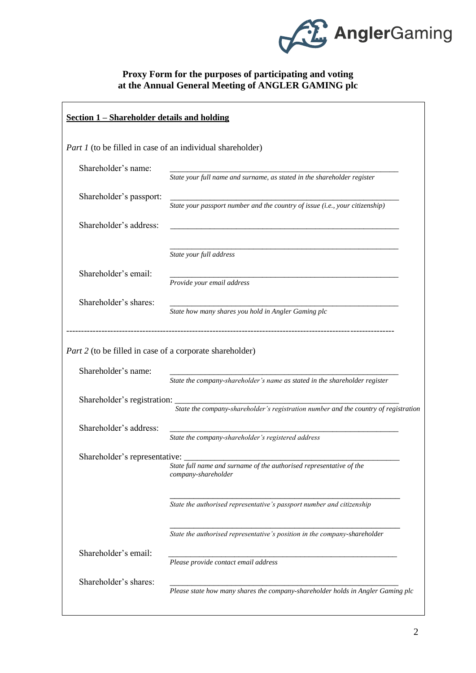

# **Proxy Form for the purposes of participating and voting at the Annual General Meeting of ANGLER GAMING plc**

| Section 1 – Shareholder details and holding                                     |                                                                                            |  |  |  |
|---------------------------------------------------------------------------------|--------------------------------------------------------------------------------------------|--|--|--|
| <i>Part 1</i> (to be filled in case of an individual shareholder)               |                                                                                            |  |  |  |
| Shareholder's name:                                                             | State your full name and surname, as stated in the shareholder register                    |  |  |  |
| Shareholder's passport:                                                         | State your passport number and the country of issue (i.e., your citizenship)               |  |  |  |
| Shareholder's address:                                                          |                                                                                            |  |  |  |
|                                                                                 | State your full address                                                                    |  |  |  |
| Shareholder's email:                                                            | Provide your email address                                                                 |  |  |  |
| Shareholder's shares:                                                           | State how many shares you hold in Angler Gaming plc                                        |  |  |  |
| Part 2 (to be filled in case of a corporate shareholder)<br>Shareholder's name: |                                                                                            |  |  |  |
| Shareholder's registration:                                                     | State the company-shareholder's name as stated in the shareholder register                 |  |  |  |
|                                                                                 | State the company-shareholder's registration number and the country of registration        |  |  |  |
| Shareholder's address:                                                          | State the company-shareholder's registered address                                         |  |  |  |
| Shareholder's representative:                                                   | State full name and surname of the authorised representative of the<br>company-shareholder |  |  |  |
|                                                                                 | State the authorised representative's passport number and citizenship                      |  |  |  |
|                                                                                 | State the authorised representative's position in the company-shareholder                  |  |  |  |
| Shareholder's email:                                                            | Please provide contact email address                                                       |  |  |  |
| Shareholder's shares:                                                           | Please state how many shares the company-shareholder holds in Angler Gaming plc            |  |  |  |